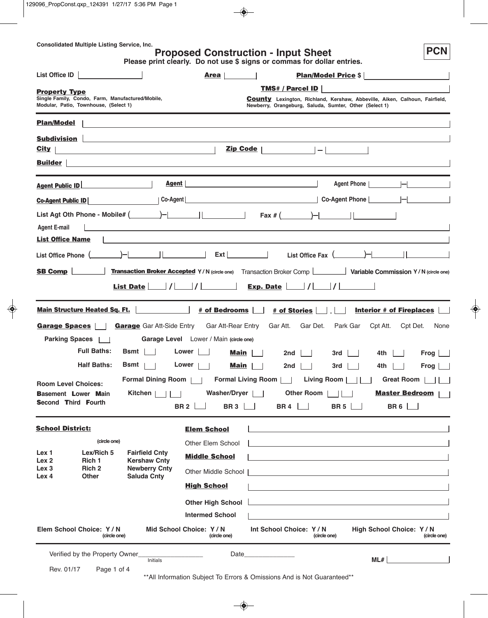## **Proposed Construction - Input Sheet**

**PCN**

| List Office ID                                                       |                                                                                                                                       |                                                                                                                                           | <b>Area</b>                                                                                                                                                    |                                                                                                                                                                                                                                                                                                                                                                                                                                                                                                                                                        | <b>Plan/Model Price \$</b>                                                                    |                                                                                                                                    |
|----------------------------------------------------------------------|---------------------------------------------------------------------------------------------------------------------------------------|-------------------------------------------------------------------------------------------------------------------------------------------|----------------------------------------------------------------------------------------------------------------------------------------------------------------|--------------------------------------------------------------------------------------------------------------------------------------------------------------------------------------------------------------------------------------------------------------------------------------------------------------------------------------------------------------------------------------------------------------------------------------------------------------------------------------------------------------------------------------------------------|-----------------------------------------------------------------------------------------------|------------------------------------------------------------------------------------------------------------------------------------|
| <b>Property Type</b>                                                 | Single Family, Condo, Farm, Manufactured/Mobile,<br>Modular, Patio, Townhouse, (Select 1)                                             |                                                                                                                                           |                                                                                                                                                                | TMS# / Parcel ID<br><b>County</b> Lexington, Richland, Kershaw, Abbeville, Aiken, Calhoun, Fairfield,<br>Newberry, Orangeburg, Saluda, Sumter, Other (Select 1)                                                                                                                                                                                                                                                                                                                                                                                        |                                                                                               |                                                                                                                                    |
| <b>Plan/Model</b>                                                    |                                                                                                                                       |                                                                                                                                           |                                                                                                                                                                |                                                                                                                                                                                                                                                                                                                                                                                                                                                                                                                                                        |                                                                                               |                                                                                                                                    |
| <b>Subdivision</b><br>City<br><b>Builder</b>                         |                                                                                                                                       | the control of the control of the control of the control of the control of<br><u> 1980 - Johann Barbara, martxa al III-lea (h. 1980).</u> | Zip Code                                                                                                                                                       | $\vert - \vert$<br><u> 1989 - Jan Samuel Barbara, margaret eta batean batean batean batean batean batean batean batean batean batean</u>                                                                                                                                                                                                                                                                                                                                                                                                               |                                                                                               |                                                                                                                                    |
| <b>Agent Public ID</b>                                               |                                                                                                                                       | Agent                                                                                                                                     |                                                                                                                                                                | the control of the control of the control of the control of the control of                                                                                                                                                                                                                                                                                                                                                                                                                                                                             | Agent Phone                                                                                   |                                                                                                                                    |
| <b>Co-Agent Public ID</b>                                            |                                                                                                                                       | Co-Agent                                                                                                                                  |                                                                                                                                                                |                                                                                                                                                                                                                                                                                                                                                                                                                                                                                                                                                        | Co-Agent Phone                                                                                |                                                                                                                                    |
| <b>Agent E-mail</b><br><b>List Office Name</b>                       |                                                                                                                                       |                                                                                                                                           |                                                                                                                                                                | List Agt Oth Phone - Mobile# $\begin{array}{ c c c c c c }\n\hline\n-\end{array}$ $\begin{array}{ c c c c c }\n\hline\n\end{array}$ Fax # $\begin{array}{ c c c c }\n\hline\n-\end{array}$<br>and the control of the control of the control of the control of the control of the control of the control of the<br><u>and the state of the state of the state of the state of the state of the state of the state of the state of the state of the state of the state of the state of the state of the state of the state of the state of the state</u> |                                                                                               |                                                                                                                                    |
| List Office Phone (                                                  |                                                                                                                                       |                                                                                                                                           | Ext                                                                                                                                                            | List Office Fax (                                                                                                                                                                                                                                                                                                                                                                                                                                                                                                                                      |                                                                                               |                                                                                                                                    |
| <b>SB Comp</b>                                                       |                                                                                                                                       | $\vert I \vert$<br><b>List Date</b>                                                                                                       | $\vert I \vert$ $\vert$                                                                                                                                        | <b>Transaction Broker Accepted Y/N</b> (circle one) Transaction Broker Comp<br> I <br>Exp. Date                                                                                                                                                                                                                                                                                                                                                                                                                                                        | Variable Commission Y/N (circle one)<br>$\vert \hspace{.06cm} \vert$ $\vert$                  |                                                                                                                                    |
| Garage Spaces<br><b>Parking Spaces</b><br><b>Room Level Choices:</b> | Main Structure Heated Sq. Ft.<br><b>Full Baths:</b><br><b>Half Baths:</b><br><b>Basement Lower Main</b><br><b>Second Third Fourth</b> | <b>Garage</b> Gar Att-Side Entry<br>$Bsmt$    <br>Bsmt<br><b>Formal Dining Room</b>                                                       | <b>Example 4 # of Bedrooms</b><br>Gar Att-Rear Entry<br>Garage Level Lower / Main (circle one)<br>Lower<br>Main<br>Lower<br>Main<br>BR 2 $\Box$<br>BR 3 $\Box$ | # of Stories<br>Gar Att.<br>Gar Det.<br>2nd<br>2nd<br>Formal Living Room    <br>Living Room<br>Kitchen         Washer/Dryer     Other Room        <br>BR 4 $\Box$                                                                                                                                                                                                                                                                                                                                                                                      | Park Gar<br>Cpt Att.<br>3rd<br>4th<br>3rd<br>4th<br>BR 5 $\lfloor$                            | <b>Interior # of Fireplaces</b><br>Cpt Det.<br>None<br>Frog<br>Frog  <br><b>Great Room</b><br><b>Master Bedroom</b><br>BR 6 $\Box$ |
| <b>School District:</b>                                              |                                                                                                                                       |                                                                                                                                           | <b>Elem School</b>                                                                                                                                             |                                                                                                                                                                                                                                                                                                                                                                                                                                                                                                                                                        | and the control of the control of the control of the control of the control of the control of |                                                                                                                                    |
| Lex 1<br>Lex <sub>2</sub><br>Lex <sub>3</sub><br>Lex 4               | (circle one)<br>Lex/Rich 5<br>Rich 1<br>Rich <sub>2</sub><br><b>Other</b>                                                             | <b>Fairfield Cnty</b><br><b>Kershaw Cnty</b><br><b>Newberry Cnty</b><br><b>Saluda Cnty</b>                                                | Other Elem School<br><b>Middle School</b><br>Other Middle School<br><b>High School</b><br><b>Other High School</b><br><b>Intermed School</b>                   |                                                                                                                                                                                                                                                                                                                                                                                                                                                                                                                                                        | <u> 1989 - Johann Barbara, martxa alemaniar amerikan a</u>                                    |                                                                                                                                    |
| Elem School Choice: Y/N<br>Mid School Choice: Y/N<br>(circle one)    |                                                                                                                                       |                                                                                                                                           | (circle one)                                                                                                                                                   | Int School Choice: Y/N<br>(circle one)                                                                                                                                                                                                                                                                                                                                                                                                                                                                                                                 |                                                                                               | High School Choice: Y / N<br>(circle one)                                                                                          |
| Rev. 01/17                                                           | Verified by the Property Owner_<br>Page 1 of 4                                                                                        | Initials                                                                                                                                  |                                                                                                                                                                | Date <b>Date</b>                                                                                                                                                                                                                                                                                                                                                                                                                                                                                                                                       | ML#                                                                                           |                                                                                                                                    |

\*\*All Information Subject To Errors & Omissions And is Not Guaranteed\*\*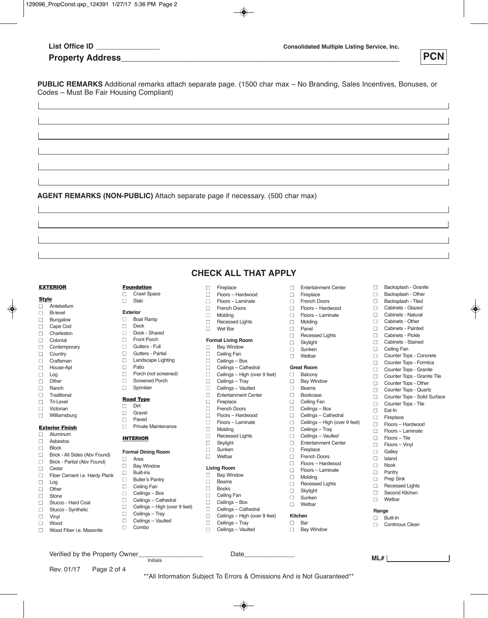| List Office ID |  |  |  |
|----------------|--|--|--|
|                |  |  |  |

□ Entertainment Center<br>□ Fireplace **■** Fireplace **n** French Doors □ Floors – Hardwood<br>□ Floors – Laminate □ Floors – Laminate<br>□ Molding □ Molding<br>□ Panel Panel □ Recessed Lights □ Skylight<br>□ Sunken Sunken **■** Wetbar Great **Room**  $\Box$  Balcony **Bay Window** 

**■** Beams □ Bookcase<br>□ Ceiling Fa □ Ceiling Fan<br>□ Ceilings – B nCeilings – Box □ Ceilings – Cathedral □ Ceilings – High (over 9 feet)<br>□ Ceilings – Tray Ceilings – Tray □ Ceilings – Vaulted<br>□ Fntertainment Cer **■** Entertainment Center Fireplace French Doors<br> **Floors** – Hardy □ Floors – Hardwood<br>□ Floors – Laminate □ Floors – Laminate<br>□ Molding □ Molding<br>□ Recesse

**Recessed Lights** 

**■** Skylight Sunken n Wetbar **Kitchen**<br>□ Bar **Bar n** Bay Window

**PCN**

□ Backsplash - Granite<br>□ Backsplash - Other Backsplash - Other nBacksplash - Tiled □ Cabinets - Glazed<br>□ Cabinets - Natural □ Cabinets - Natural<br>□ Cabinets - Other □ Cabinets - Other<br>□ Cabinets - Painte □ Cabinets - Painted<br>□ Cabinets - Pickle □ Cabinets - Pickle<br>□ Cabinets - Staine nCabinets - Stained

□ Ceiling Fan<br>□ Counter Tor

□ Counter Tops - Concrete<br>□ Counter Tops - Formica □ Counter Tops - Formica<br>□ Counter Tops - Granite □ Counter Tops - Granite<br>□ Counter Tops - Granite nCounter Tops - Granite Tile

□ Counter Tops - Other<br>□ Counter Tops - Quartz □ Counter Tops - Quartz<br>□ Counter Tops - Solid S nCounter Tops - Solid Surface

□ Counter Tops - Tile

□ Eat-In<br>□ Firepla Fireplace □ Floors – Hardwood<br>□ Floors – Laminate □ Floors – Laminate<br>□ Floors – Tile nFloors – Tile nFloors – Vinyl  $\Box$  Galley **Island**  $\Box$  Nook nPantry □ Prep Sink □ Recessed Lights □ Second Kitchen<br>□ Wethar nWetbar

**Range** n Built-In □ Continous Clean

**Property Address** 

**PUBLIC REMARKS** Additional remarks attach separate page. (1500 char max – No Branding, Sales Incentives, Bonuses, or Codes – Must Be Fair Housing Compliant)

**AGENT REMARKS (NON-PUBLIC)** Attach separate page if necessary. (500 char max)

### **EXTERIOR**

### **Style**

- nAntebellum
- □ Bi-level
- 
- **■** Bungalow Cape Cod
- **■** Charleston
- 
- **■** Colonial **■** Contemporary
- **■** Country
- □ Craftsman<br>□ House-Apt
- nHouse-Apt
- Log
- nOther
- nRanch
- □ Traditional<br>□ Tri-Level
- □ Tri-Level<br>□ Victorian
- Victorian **■** Williamsburg
- 

### **Exterior Finish**

- **■** Aluminum **Asbestos**
- n Block
- 
- □ Brick All Sides (Abv Found)<br>□ Brick Partial (Abv Found) **Brick - Partial (Abv Found)**
- **■** Cedar
- □ Fiber Cement i.e. Hardy Plank<br>□ Log
- nLog
- □ Other<br>□ Stone
- **■** Stone Stucco - Hard Coat
- □ Stucco Synthetic
- **■** Vinyl
- 
- **■** Wood Wood Fiber i.e. Masonite

Rev. 01/17 Page 2 of 4

- **Foundation**
- □ Crawl Space **■** Slab

### **Exterior**

- 
- □ Boat Ramp Deck
- 
- □ Dock Shared<br>□ Front Porch
- Front Porch<br> **n** Gutters Fu n Gutters - Full
- n Gutters Partial
- 
- $\Box$  Landscape Lighting
- □ Patio<br>□ Porch Porch (not screened)
- □ Screened Porch<br>□ Sprinkler
- Sprinkler

### **Road Type**

- $\Box$  Dirt
- **■** Gravel
- □ Paved<br>□ Private
- Private Maintenance

### **INTERIOR**

 $\Box$  Area

### **Formal Dining Room**

- □ Bay Window
- $\square$  Built-ins
- □ Butler's Pantry **n** Ceiling Fan
- □ Ceilings Box

Verified by the Property Owner<br>  $\frac{1}{\text{Initials}}$  Date

- □ Ceilings Cathedral
- □ Ceilings High (over 9 feet)
- □ Ceilings Tray
- □ Ceilings Vaulted
- **■** Combo

**CHECK ALL THAT APPLY**

- **■** Fireplace
- nFloors Hardwood
- nFloors Laminate
- □ French Doors<br>□ Molding
- □ Molding<br>□ Recesse
- □ Recessed Lights<br>□ Wet Bar
- nWet Bar

## **Formal Living Room**<br> **Bay Window**

- **Bay Window**
- nCeiling Fan
- □ Ceilings Box<br>□ Ceilings Cath
- Ceilings Cathedral
- □ Ceilings High (over 9 feet)<br>□ Ceilings Tray
	- Ceilings Tray
- □ Ceilings Vaulted<br>□ Entertainment Cer
- □ Entertainment Center<br>□ Fireplace
- **■** Fireplace **French Doors**
- nFloors Hardwood
- □ Floors Laminate
- nMolding
- □ Recessed Lights<br>□ Skylight
- **■** Skylight Sunken
- **■** Wetbar

### **Living Room**

- □ Bay Window
- $\Box$  Beams
- n Books
- **D** Ceiling Fan

Ceilings – Tray □ Ceilings – Vaulted

- □ Ceilings Box □ Ceilings – Cathedral
- $\Box$  Ceilings High (over 9 feet)<br> $\Box$  Ceilings Trav

Initials **ML#**

\*\*All Information Subject To Errors & Omissions And is Not Guaranteed\*\*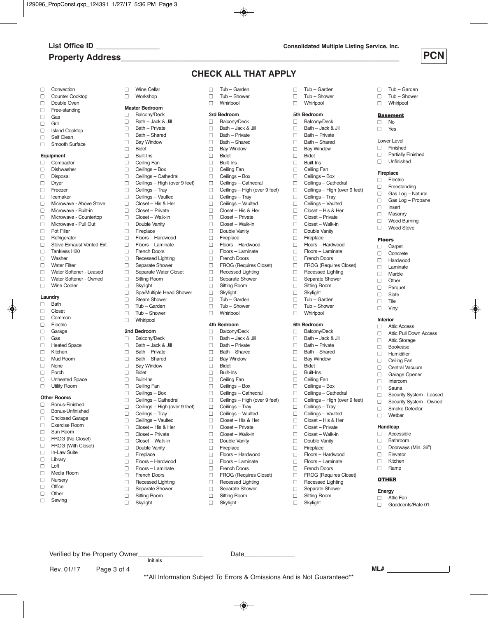# **Property Address\_\_\_\_\_\_\_\_\_\_\_\_\_\_\_\_\_\_\_\_\_\_\_\_\_\_\_\_\_\_\_\_\_\_\_\_\_\_\_\_\_\_\_\_\_\_\_\_\_\_\_\_\_\_\_\_\_\_**

**ML#**



 $\Box$  Tub – Garden □ Tub – Shower<br>□ Whirlpool **■** Whirlpool **Basement**  $\Box$  No<br> $\Box$  Yes Yes

Lower Level<br>□ Finishe **Finished** □ Partially Finished n Unfinished

**Fireplace**<br> **Flect** □ Electric<br>□ Freesta Freestanding  $\Box$  Gas Log – Natural  $\Box$  Gas Log – Propane

□ Insert<br>□ Masor Masonry □ Wood Burning<br>□ Wood Stove Wood Stove

**Floors** Carpet n Concrete  $\Box$  Hardwood n Laminate  $\Box$  Marble  $\Box$  Other<br> $\Box$  Parqu  $\Box$  Parquet □ Slate<br>□ Tile **Tile**  $\Box$  Vinyl **Interior** □ Attic Access

 $\Box$  Attic Pull Down Access □ Attic Storage<br>□ Bookcase **Bookcase** □ Humidifier<br>□ Ceiling Fa □ Ceiling Fan<br>□ Central Vac Central Vacuum □ Garage Opener n Intercom n Sauna

□ Security System - Leased<br>□ Security System - Owned Security System - Owned

□ Smoke Detector **■** Wetbar **Handicap** n Accessible n Bathroom

 $\Box$  Doorways (Min. 36")

□ Elevator<br>□ Kitchen n Kitchen  $\Box$  Ramp **OTHER Energy**  $\Box$  Attic Fan □ Goodcents/Rate 01

### **CHECK ALL THAT APPLY**

□ Tub – Garden<br>□ Tub – Shower

- □ Convection<br>□ Counter Co
- □ Counter Cooktop<br>□ Double Oven
- $\Box$  Double Oven
- $\Box$  Free-standing
- $\Box$  Gas
- □ Grill<br>□ Islar
- □ Island Cooktop<br>□ Self Clean
- Self Clean □ Smooth Surface

## **Equipment**<br>  $\Box$  Compa

- Compactor □ Dishwasher<br>□ Disposal □ Disposal<br>□ Dryer □ Dryer<br>□ Freez  $\Box$  Freezer **■** Icemaker □ Microwave - Above Stove<br>□ Microwave - Built-in Microwave - Built-in □ Microwave - Countertop  $\Box$  Microwave - Pull Out Pot Filler □ Refrigerator<br>□ Stove Exha  $\Box$  Stove Exhaust Vented Ext.<br> $\Box$  Tankless H20 □ Tankless H20 Washer
- □ Water Filter<br>□ Water Softe
- □ Water Softener Leased<br>□ Water Softener Owned
- □ Water Softener Owned<br>□ Wine Cooler Wine Cooler

### **Laundry**

- $\Box$  Bath Closet
- 
- □ Common<br>□ Electric
- □ Electric<br>□ Garage Garage
- nGas
- **n** Heated Space
- □ Kitchen<br>□ Mud Ro
- □ Mud Room
- **None**
- nPorch
- **D** Unheated Space **n** Utility Room

- **Other Rooms**
- □ Bonus-Finished □ Bonus-Unfinished
- n Enclosed Garage
- **n Exercise Room**
- 
- □ Sun Room<br>□ FROG (No
- □ FROG (No Closet)<br>□ FROG (With Close FROG (With Closet)

Rev. 01/17 Page 3 of 4

- □ In-Law Suite
- n Library
- nLoft
- nMedia Room **n** Nursery
- 
- □ Office<br>□ Other nOther
- $\Box$  Sewing

□ Wine Cellar<br>□ Workshop nWorkshop **Master Bedroom**<br> **Balcony/Deck** Balcony/Deck  $\Box$  Bath – Jack & Jill<br> $\Box$  Bath – Private  $\Box$  Bath – Private  $\Box$  Bath – Shared □ Bay Window<br>□ Bidet nBidet  $\Box$  Built-Ins<br>  $\Box$  Ceiling I Ceiling Fan □ Ceilings – Box<br>□ Ceilings – Cath □ Ceilings – Cathedral<br>□ Ceilings – High (over □ Ceilings – High (over 9 feet)<br>□ Ceilings – Trav □ Ceilings – Tray<br>□ Ceilings – Vault Ceilings – Vaulted  $\Box$  Closet – His & Her Closet – Private n Closet – Walk-in  $\Box$  Double Vanity Fireplace nFloors – Hardwood □ Floors – Laminate<br>□ French Doors **French Doors** nRecessed Lighting **n** Separate Shower  $\Box$  Separate Water Closet<br> $\Box$  Sitting Room □ Sitting Room<br>□ Skylight Skylight **n** Spa/Multiple Head Shower **n** Steam Shower □ Tub – Garden<br>□ Tub – Shower Tub – Shower n Whirlpool

### **2nd Bedroom**

- n Balcony/Deck n Bath – Jack & Jill  $\Box$  Bath – Private  $\Box$  Bath – Shared **Bay Window** nBidet
- $\Box$  Built-Ins □ Ceiling Fan<br>□ Ceilings – E nCeilings – Box □ Ceilings – Cathedral
- □ Ceilings High (over 9 feet)<br>□ Ceilings Tray
- Ceilings Tray
- □ Ceilings Vaulted<br>□ Closet His & Hei
- n Closet His & Her n Closet – Private
- n Closet Walk-in
- Double Vanity
- 
- $\Box$  Fireplace<br> $\Box$  Floors H nFloors – Hardwood
- nFloors Laminate
- nFrench Doors
- **n** Recessed Lighting
- □ Separate Shower<br>□ Sitting Room
	- **Sitting Room**

Verified by the Property Owner\_\_\_\_\_\_\_\_\_\_\_\_\_\_\_\_\_\_ Date\_\_\_\_\_\_\_\_\_\_\_\_\_\_

Initials

□ Skylight

- □ Tub Shower<br>□ Whirlpool Whirlpool **3rd Bedroom** □ Balcony/Deck<br>□ Bath - Jack &  $\Box$  Bath – Jack & Jill<br> $\Box$  Bath – Private  $\Box$  Bath – Private  $\Box$  Bath – Shared □ Bay Window<br>□ Bidet □ Bidet<br>□ Built-I □ Built-Ins<br>□ Ceiling F □ Ceiling Fan<br>□ Ceilings – B □ Ceilings – Box<br>□ Ceilings – Cath □ Ceilings – Cathedral<br>□ Ceilings – High (over □ Ceilings – High (over 9 feet)<br>□ Ceilings – Tray □ Ceilings – Tray<br>□ Ceilings – Vault □ Ceilings – Vaulted<br>□ Closet – His & Her n Closet – His & Her  $\Box$  Closet – Private □ Closet – Walk-in<br>□ Double Vanity
- Double Vanity<br>
Fireplace
- $\Box$  Fireplace<br> $\Box$  Floors H
- □ Floors Hardwood<br>□ Floors Laminate nFloors – Laminate
- nFrench Doors
- 
- □ FROG (Requires Closet)<br>□ Recessed Lighting
- □ Recessed Lighting<br>□ Separate Shower □ Separate Shower<br>□ Sitting Room
- □ Sitting Room<br>□ Skylight
- Skylight
- □ Tub Garden<br>□ Tub Shower
- □ Tub Shower<br>□ Whirlpool Whirlpool

- **4th Bedroom**  $\Box$  Balcony/Deck<br>  $\Box$  Bath – Jack &
- n Bath Jack & Jill
- $\Box$  Bath Private
- $\Box$  Bath Shared<br> $\Box$  Bay Window
- □ Bay Window<br>□ Bidet
- □ Bidet<br>□ Built-
- **Built-Ins n** Ceiling Fan
- 
- □ Ceilings Box<br>□ Ceilings Cath Ceilings – Cathedral
- □ Ceilings High (over 9 feet)
- 
- □ Ceilings Tray<br>□ Ceilings Vaul nCeilings – Vaulted
- $\Box$  Closet His & Her<br> $\Box$  Closet Private
- □ Closet Private<br>□ Closet Walk-in
- Closet Walk-in n Double Vanity
- 
- □ Fireplace<br>□ Floors h
- □ Floors Hardwood<br>□ Floors Laminate nFloors – Laminate
- **n** French Doors
- nFROG (Requires Closet)
- □ Recessed Lighting

\*\*All Information Subject To Errors & Omissions And is Not Guaranteed\*\*

- □ Separate Shower<br>□ Sitting Room
- **Sitting Room** □ Skylight

□ Tub – Garden<br>□ Tub – Shower □ Tub – Shower<br>□ Whirlpool Whirlpool

**5th Bedroom**  $\Box$  Balcony/Deck<br>  $\Box$  Bath – Jack &  $\Box$  Bath – Jack & Jill  $\Box$  Bath – Private  $\Box$  Bath – Shared □ Bay Window<br>□ Bidet □ Bidet<br>□ Built-**Built-Ins** □ Ceiling Fan<br>□ Ceilings – E □ Ceilings – Box<br>□ Ceilings – Cath □ Ceilings – Cathedral<br>□ Ceilings – High (over □ Ceilings – High (over 9 feet)<br>□ Ceilings – Tray Ceilings – Tray □ Ceilings – Vaulted<br>□ Closet – His & He n Closet – His & Her □ Closet – Private □ Closet – Walk-in<br>□ Double Vanity Double Vanity

□ Fireplace<br>□ Floors – h □ Floors – Hardwood<br>□ Floors – Laminate nFloors – Laminate nFrench Doors **n** FROG (Requires Closet) □ Recessed Lighting<br>□ Separate Shower ■ Separate Shower<br>■ Sitting Room □ Sitting Room<br>□ Skylight **■** Skylight □ Tub – Garden □ Tub – Shower<br>□ Whirlpool **■** Whirlpool

**6th Bedroom** Balcony/Deck **■** Bath – Jack & Jill **■** Bath – Private **■** Bath – Shared □ Bay Window<br>□ Bidet nBidet **■** Built-Ins **n** Ceiling Fan □ Ceilings – Box<br>□ Ceilings – Cath Ceilings – Cathedral □ Ceilings – High (over 9 feet)

□ Ceilings – Tray<br>□ Ceilings – Vault Ceilings – Vaulted **■** Closet – His & Her **■** Closet – Private **■** Closet – Walk-in **■** Double Vanity **■** Fireplace

□ Floors – Hardwood<br>□ Floors – Laminate nFloors – Laminate **n** French Doors **n FROG** (Requires Closet) **n** Recessed Lighting ■ Separate Shower<br>■ Sitting Room **Sitting Room ■** Skylight